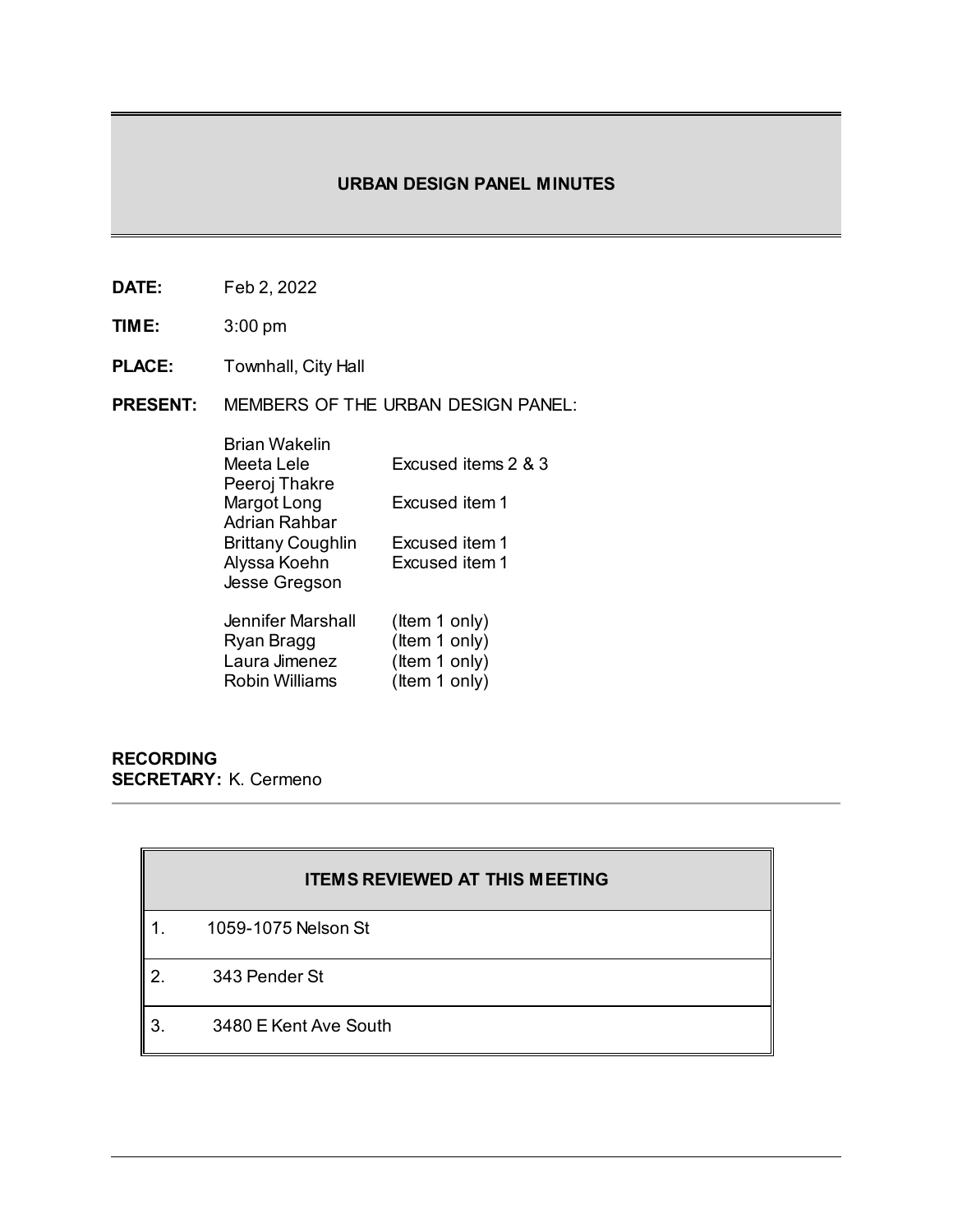# **URBAN DESIGN PANEL MINUTES**

- **DATE:** Feb 2, 2022
- **TIME:** 3:00 pm
- **PLACE:** Townhall, City Hall
- **PRESENT:** MEMBERS OF THE URBAN DESIGN PANEL:

| Brian Wakelin     |                     |
|-------------------|---------------------|
| Meeta Lele        | Excused items 2 & 3 |
| Peeroj Thakre     |                     |
| Margot Long       | Excused item 1      |
| Adrian Rahbar     |                     |
| Brittany Coughlin | Excused item 1      |
| Alyssa Koehn      | Excused item 1      |
| Jesse Gregson     |                     |
|                   |                     |
| Jennifer Marshall | (Item 1 only)       |
| Ryan Bragg        | (Item 1 only)       |
| Laura Jimenez     | (Item 1 only)       |
| Robin Williams    | (Item 1 only)       |
|                   |                     |

## **RECORDING SECRETARY:** K. Cermeno

|    | <b>ITEMS REVIEWED AT THIS MEETING</b> |
|----|---------------------------------------|
|    | 1059-1075 Nelson St                   |
| 2  | 343 Pender St                         |
| 3. | 3480 E Kent Ave South                 |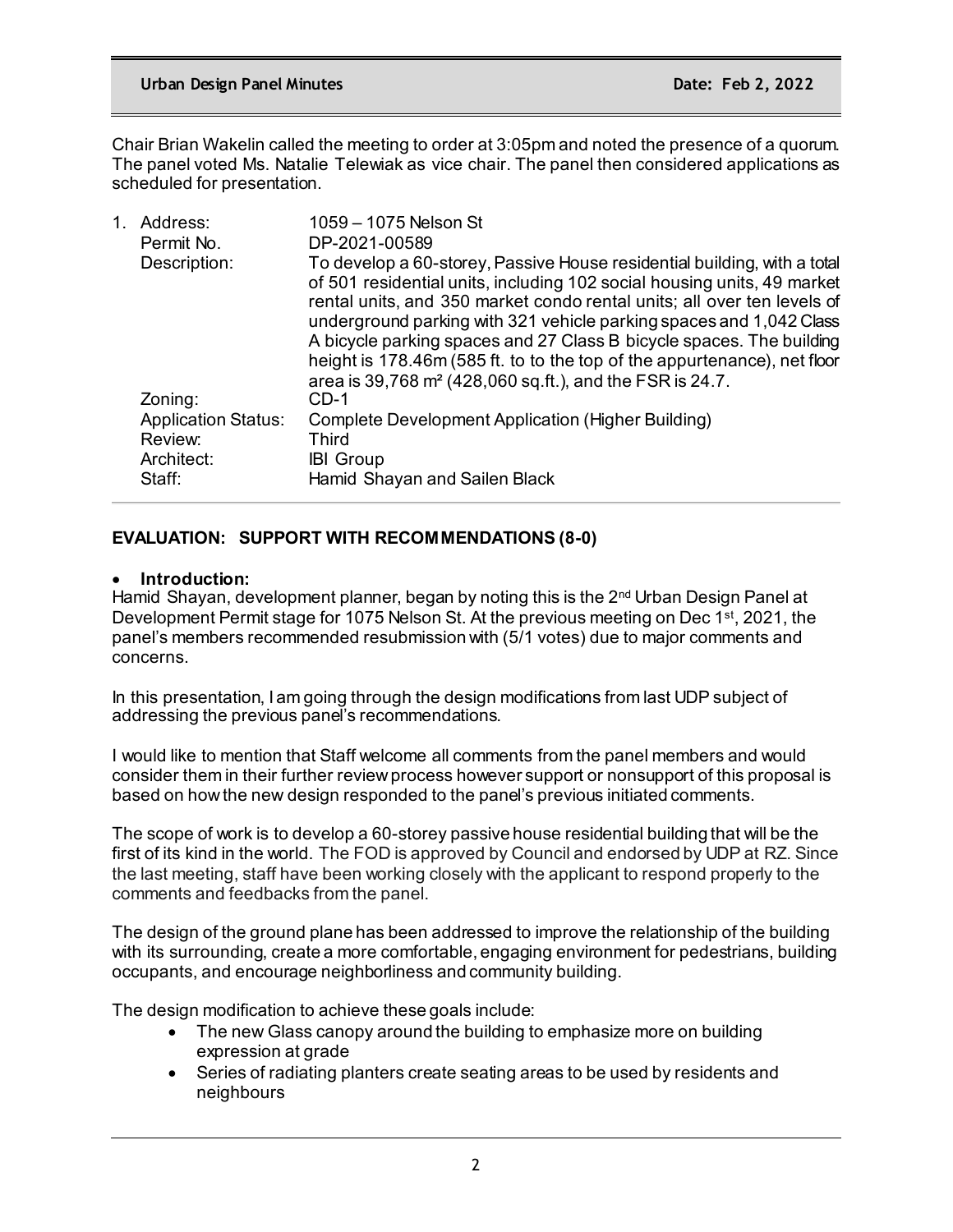Chair Brian Wakelin called the meeting to order at 3:05pm and noted the presence of a quorum. The panel voted Ms. Natalie Telewiak as vice chair. The panel then considered applications as scheduled for presentation.

| 1. | Address:<br>Permit No.                | 1059 - 1075 Nelson St<br>DP-2021-00589                                                                                                                                                                                                                                                                                                                                                                                                                                                                                            |
|----|---------------------------------------|-----------------------------------------------------------------------------------------------------------------------------------------------------------------------------------------------------------------------------------------------------------------------------------------------------------------------------------------------------------------------------------------------------------------------------------------------------------------------------------------------------------------------------------|
|    | Description:                          | To develop a 60-storey, Passive House residential building, with a total<br>of 501 residential units, including 102 social housing units, 49 market<br>rental units, and 350 market condo rental units; all over ten levels of<br>underground parking with 321 vehicle parking spaces and 1,042 Class<br>A bicycle parking spaces and 27 Class B bicycle spaces. The building<br>height is 178.46m (585 ft. to to the top of the appurtenance), net floor<br>area is 39,768 m <sup>2</sup> (428,060 sq.ft.), and the FSR is 24.7. |
|    | Zoning:                               | $CD-1$                                                                                                                                                                                                                                                                                                                                                                                                                                                                                                                            |
|    | <b>Application Status:</b><br>Review: | Complete Development Application (Higher Building)<br><b>Third</b>                                                                                                                                                                                                                                                                                                                                                                                                                                                                |
|    | Architect:                            | <b>IBI</b> Group                                                                                                                                                                                                                                                                                                                                                                                                                                                                                                                  |
|    | Staff:                                | Hamid Shayan and Sailen Black                                                                                                                                                                                                                                                                                                                                                                                                                                                                                                     |

## **EVALUATION: SUPPORT WITH RECOMMENDATIONS (8-0)**

### • **Introduction:**

Hamid Shayan, development planner, began by noting this is the 2<sup>nd</sup> Urban Design Panel at Development Permit stage for 1075 Nelson St. At the previous meeting on Dec 1<sup>st</sup>, 2021, the panel's members recommended resubmission with (5/1 votes) due to major comments and concerns.

In this presentation, I am going through the design modifications from last UDP subject of addressing the previous panel's recommendations.

I would like to mention that Staff welcome all comments from the panel members and would consider them in their further review process however support or nonsupport of this proposal is based on how the new design responded to the panel's previous initiated comments.

The scope of work is to develop a 60-storey passive house residential building that will be the first of its kind in the world. The FOD is approved by Council and endorsed by UDP at RZ. Since the last meeting, staff have been working closely with the applicant to respond properly to the comments and feedbacks from the panel.

The design of the ground plane has been addressed to improve the relationship of the building with its surrounding, create a more comfortable, engaging environment for pedestrians, building occupants, and encourage neighborliness and community building.

The design modification to achieve these goals include:

- The new Glass canopy around the building to emphasize more on building expression at grade
- Series of radiating planters create seating areas to be used by residents and neighbours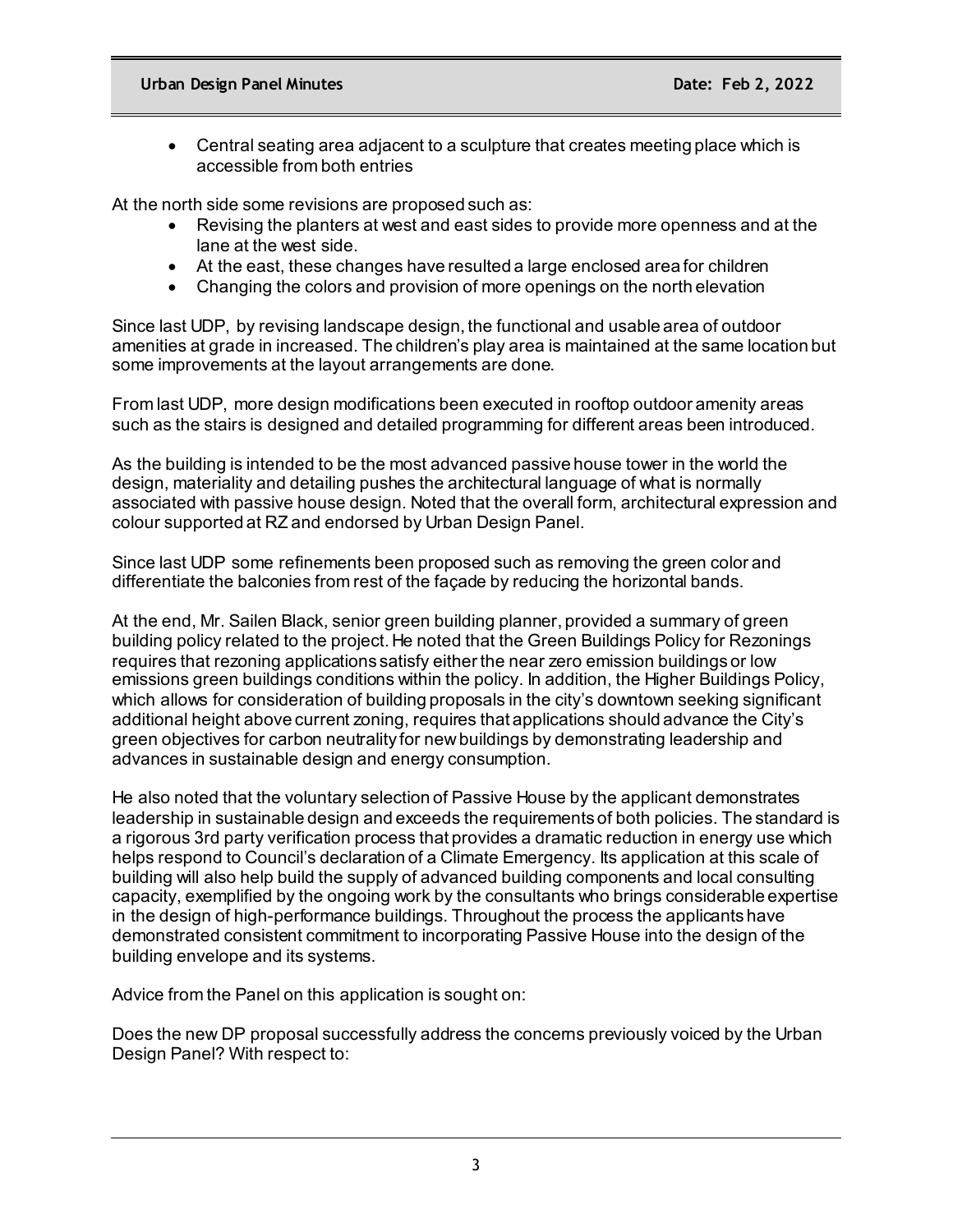• Central seating area adjacent to a sculpture that creates meeting place which is accessible from both entries

At the north side some revisions are proposed such as:

- Revising the planters at west and east sides to provide more openness and at the lane at the west side.
- At the east, these changes have resulted a large enclosed area for children
- Changing the colors and provision of more openings on the north elevation

Since last UDP, by revising landscape design, the functional and usable area of outdoor amenities at grade in increased. The children's play area is maintained at the same location but some improvements at the layout arrangements are done.

From last UDP, more design modifications been executed in rooftop outdoor amenity areas such as the stairs is designed and detailed programming for different areas been introduced.

As the building is intended to be the most advanced passive house tower in the world the design, materiality and detailing pushes the architectural language of what is normally associated with passive house design. Noted that the overall form, architectural expression and colour supported at RZ and endorsed by Urban Design Panel.

Since last UDP some refinements been proposed such as removing the green color and differentiate the balconies from rest of the façade by reducing the horizontal bands.

At the end, Mr. Sailen Black, senior green building planner, provided a summary of green building policy related to the project. He noted that the Green Buildings Policy for Rezonings requires that rezoning applications satisfy either the near zero emission buildings or low emissions green buildings conditions within the policy. In addition, the Higher Buildings Policy, which allows for consideration of building proposals in the city's downtown seeking significant additional height above current zoning, requires that applications should advance the City's green objectives for carbon neutrality for new buildings by demonstrating leadership and advances in sustainable design and energy consumption.

He also noted that the voluntary selection of Passive House by the applicant demonstrates leadership in sustainable design and exceeds the requirements of both policies. The standard is a rigorous 3rd party verification process that provides a dramatic reduction in energy use which helps respond to Council's declaration of a Climate Emergency. Its application at this scale of building will also help build the supply of advanced building components and local consulting capacity, exemplified by the ongoing work by the consultants who brings considerable expertise in the design of high-performance buildings. Throughout the process the applicants have demonstrated consistent commitment to incorporating Passive House into the design of the building envelope and its systems.

Advice from the Panel on this application is sought on:

Does the new DP proposal successfully address the concerns previously voiced by the Urban Design Panel? With respect to: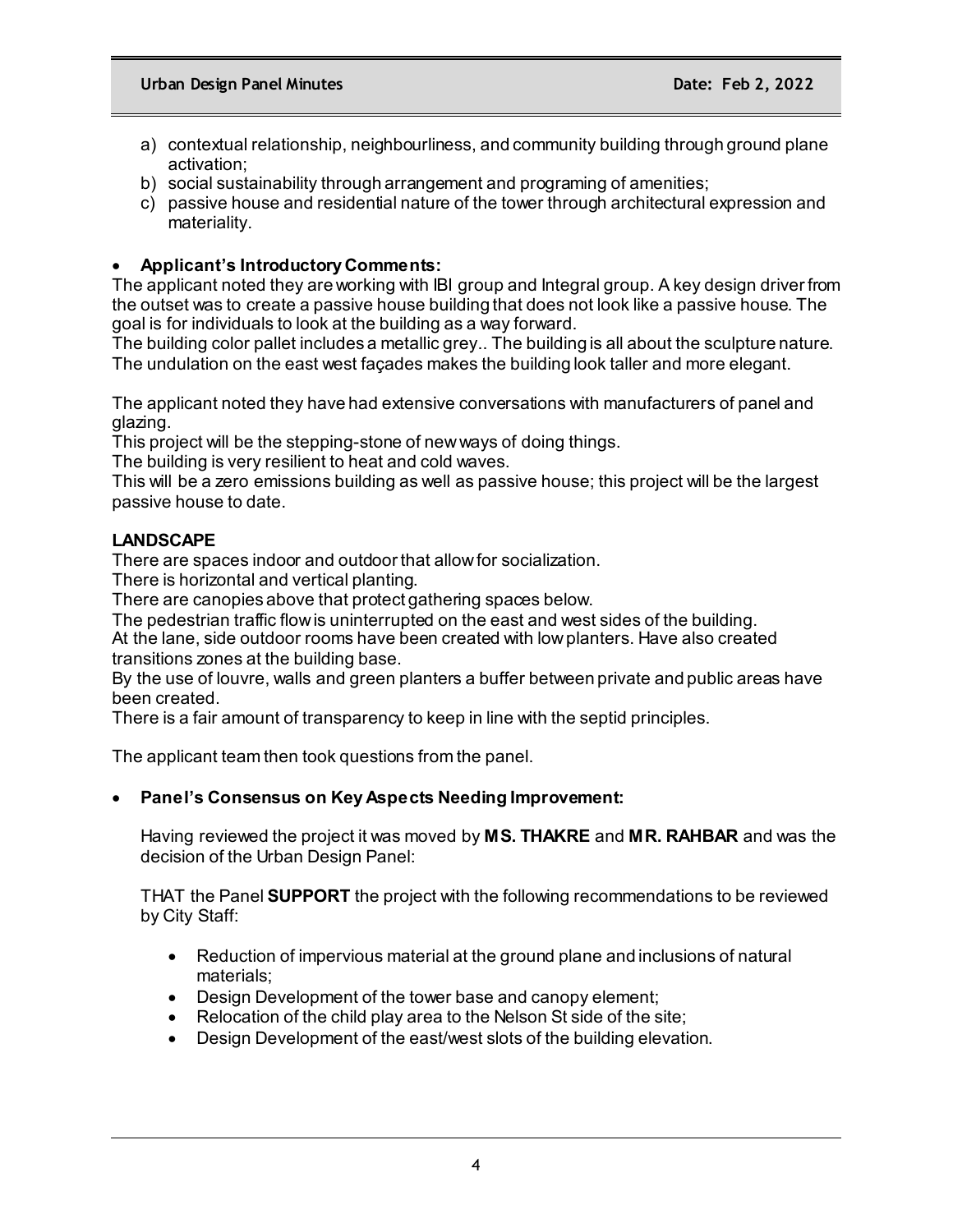- a) contextual relationship, neighbourliness, and community building through ground plane activation;
- b) social sustainability through arrangement and programing of amenities;
- c) passive house and residential nature of the tower through architectural expression and materiality.

## • **Applicant's Introductory Comments:**

The applicant noted they are working with IBI group and Integral group. A key design driver from the outset was to create a passive house building that does not look like a passive house. The goal is for individuals to look at the building as a way forward.

The building color pallet includes a metallic grey.. The building is all about the sculpture nature. The undulation on the east west façades makes the building look taller and more elegant.

The applicant noted they have had extensive conversations with manufacturers of panel and glazing.

This project will be the stepping-stone of new ways of doing things.

The building is very resilient to heat and cold waves.

This will be a zero emissions building as well as passive house; this project will be the largest passive house to date.

## **LANDSCAPE**

There are spaces indoor and outdoor that allow for socialization.

There is horizontal and vertical planting.

There are canopies above that protect gathering spaces below.

The pedestrian traffic flow is uninterrupted on the east and west sides of the building.

At the lane, side outdoor rooms have been created with low planters. Have also created transitions zones at the building base.

By the use of louvre, walls and green planters a buffer between private and public areas have been created.

There is a fair amount of transparency to keep in line with the septid principles.

The applicant team then took questions from the panel.

### • **Panel's Consensus on Key Aspects Needing Improvement:**

Having reviewed the project it was moved by **MS. THAKRE** and **MR. RAHBAR** and was the decision of the Urban Design Panel:

THAT the Panel **SUPPORT** the project with the following recommendations to be reviewed by City Staff:

- Reduction of impervious material at the ground plane and inclusions of natural materials;
- Design Development of the tower base and canopy element;
- Relocation of the child play area to the Nelson St side of the site;
- Design Development of the east/west slots of the building elevation.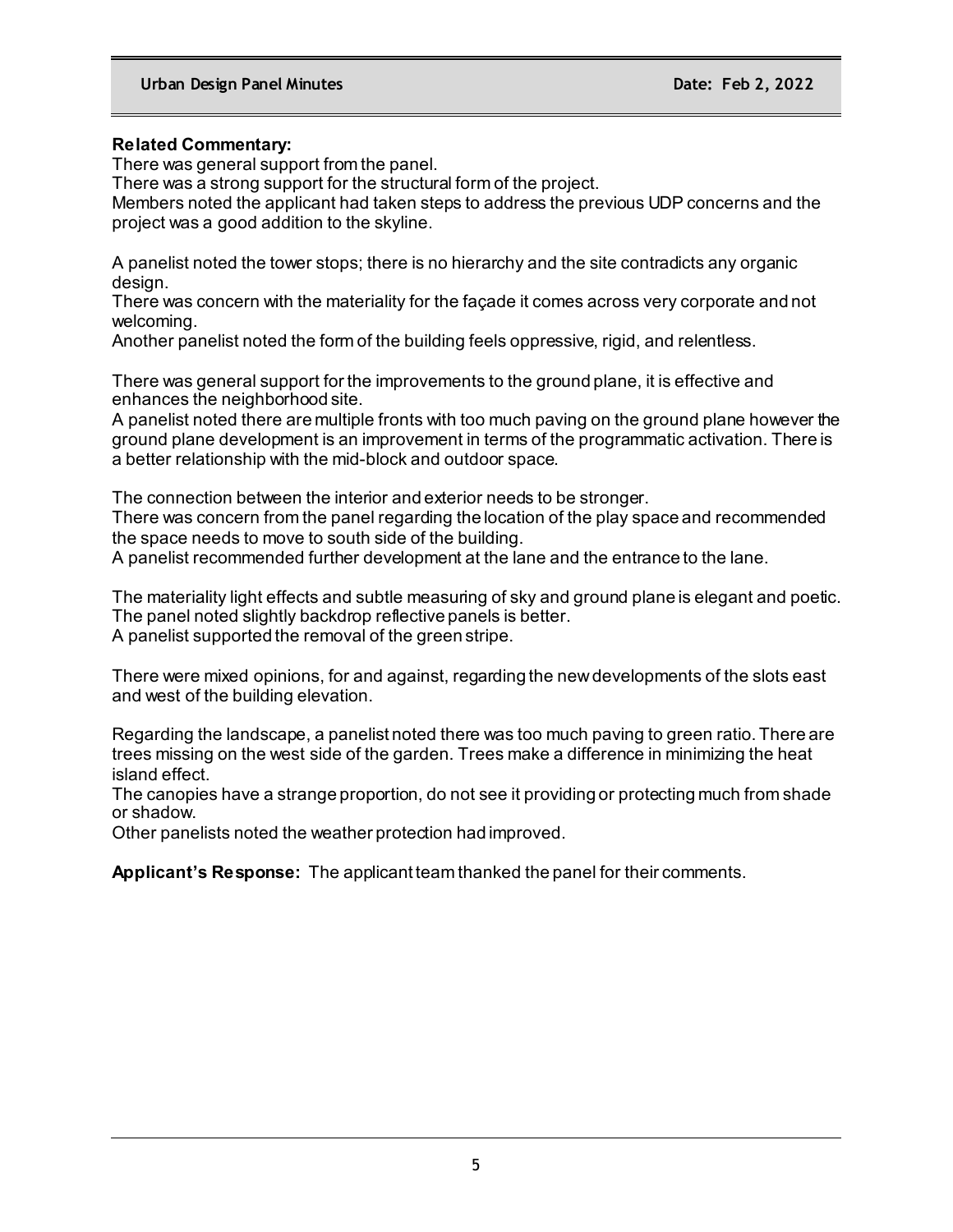### **Related Commentary:**

There was general support from the panel.

There was a strong support for the structural form of the project.

Members noted the applicant had taken steps to address the previous UDP concerns and the project was a good addition to the skyline.

A panelist noted the tower stops; there is no hierarchy and the site contradicts any organic design.

There was concern with the materiality for the façade it comes across very corporate and not welcoming.

Another panelist noted the form of the building feels oppressive, rigid, and relentless.

There was general support for the improvements to the ground plane, it is effective and enhances the neighborhood site.

A panelist noted there are multiple fronts with too much paving on the ground plane however the ground plane development is an improvement in terms of the programmatic activation. There is a better relationship with the mid-block and outdoor space.

The connection between the interior and exterior needs to be stronger. There was concern from the panel regarding the location of the play space and recommended the space needs to move to south side of the building.

A panelist recommended further development at the lane and the entrance to the lane.

The materiality light effects and subtle measuring of sky and ground plane is elegant and poetic. The panel noted slightly backdrop reflective panels is better. A panelist supported the removal of the green stripe.

There were mixed opinions, for and against, regarding the new developments of the slots east and west of the building elevation.

Regarding the landscape, a panelist noted there was too much paving to green ratio. There are trees missing on the west side of the garden. Trees make a difference in minimizing the heat island effect.

The canopies have a strange proportion, do not see it providing or protecting much from shade or shadow.

Other panelists noted the weather protection had improved.

**Applicant's Response:** The applicant team thanked the panel for their comments.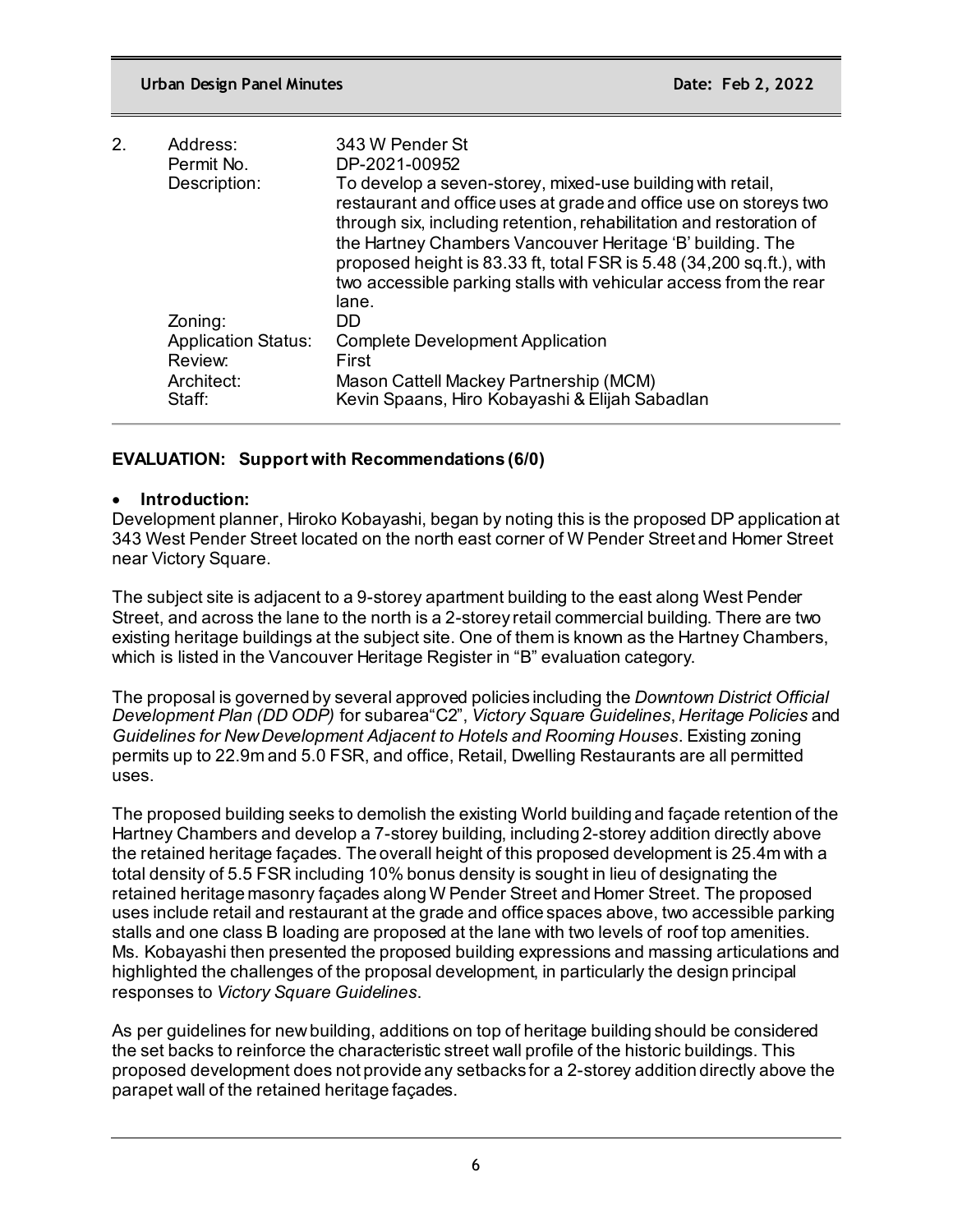| 2. | Address:                              | 343 W Pender St                                                                                                                                                                                                                                                                                                                                                                                                           |
|----|---------------------------------------|---------------------------------------------------------------------------------------------------------------------------------------------------------------------------------------------------------------------------------------------------------------------------------------------------------------------------------------------------------------------------------------------------------------------------|
|    | Permit No.                            | DP-2021-00952                                                                                                                                                                                                                                                                                                                                                                                                             |
|    | Description:                          | To develop a seven-storey, mixed-use building with retail,<br>restaurant and office uses at grade and office use on storeys two<br>through six, including retention, rehabilitation and restoration of<br>the Hartney Chambers Vancouver Heritage 'B' building. The<br>proposed height is 83.33 ft, total FSR is 5.48 (34,200 sq.ft.), with<br>two accessible parking stalls with vehicular access from the rear<br>lane. |
|    | Zoning:                               | DD.                                                                                                                                                                                                                                                                                                                                                                                                                       |
|    | <b>Application Status:</b><br>Review: | <b>Complete Development Application</b><br>First                                                                                                                                                                                                                                                                                                                                                                          |
|    | Architect:<br>Staff:                  | Mason Cattell Mackey Partnership (MCM)<br>Kevin Spaans, Hiro Kobayashi & Elijah Sabadlan                                                                                                                                                                                                                                                                                                                                  |

## **EVALUATION: Support with Recommendations (6/0)**

### • **Introduction:**

Development planner, Hiroko Kobayashi, began by noting this is the proposed DP application at 343 West Pender Street located on the north east corner of W Pender Street and Homer Street near Victory Square.

The subject site is adjacent to a 9-storey apartment building to the east along West Pender Street, and across the lane to the north is a 2-storey retail commercial building. There are two existing heritage buildings at the subject site. One of them is known as the Hartney Chambers, which is listed in the Vancouver Heritage Register in "B" evaluation category.

The proposal is governed by several approved policies including the *Downtown District Official Development Plan (DD ODP)* for subarea"C2", *Victory Square Guidelines*, *Heritage Policies* and *Guidelines for New Development Adjacent to Hotels and Rooming Houses*. Existing zoning permits up to 22.9m and 5.0 FSR, and office, Retail, Dwelling Restaurants are all permitted uses.

The proposed building seeks to demolish the existing World building and façade retention of the Hartney Chambers and develop a 7-storey building, including 2-storey addition directly above the retained heritage façades. The overall height of this proposed development is 25.4m with a total density of 5.5 FSR including 10% bonus density is sought in lieu of designating the retained heritage masonry façades along W Pender Street and Homer Street. The proposed uses include retail and restaurant at the grade and office spaces above, two accessible parking stalls and one class B loading are proposed at the lane with two levels of roof top amenities. Ms. Kobayashi then presented the proposed building expressions and massing articulations and highlighted the challenges of the proposal development, in particularly the design principal responses to *Victory Square Guidelines*.

As per guidelines for new building, additions on top of heritage building should be considered the set backs to reinforce the characteristic street wall profile of the historic buildings. This proposed development does not provide any setbacks for a 2-storey addition directly above the parapet wall of the retained heritage façades.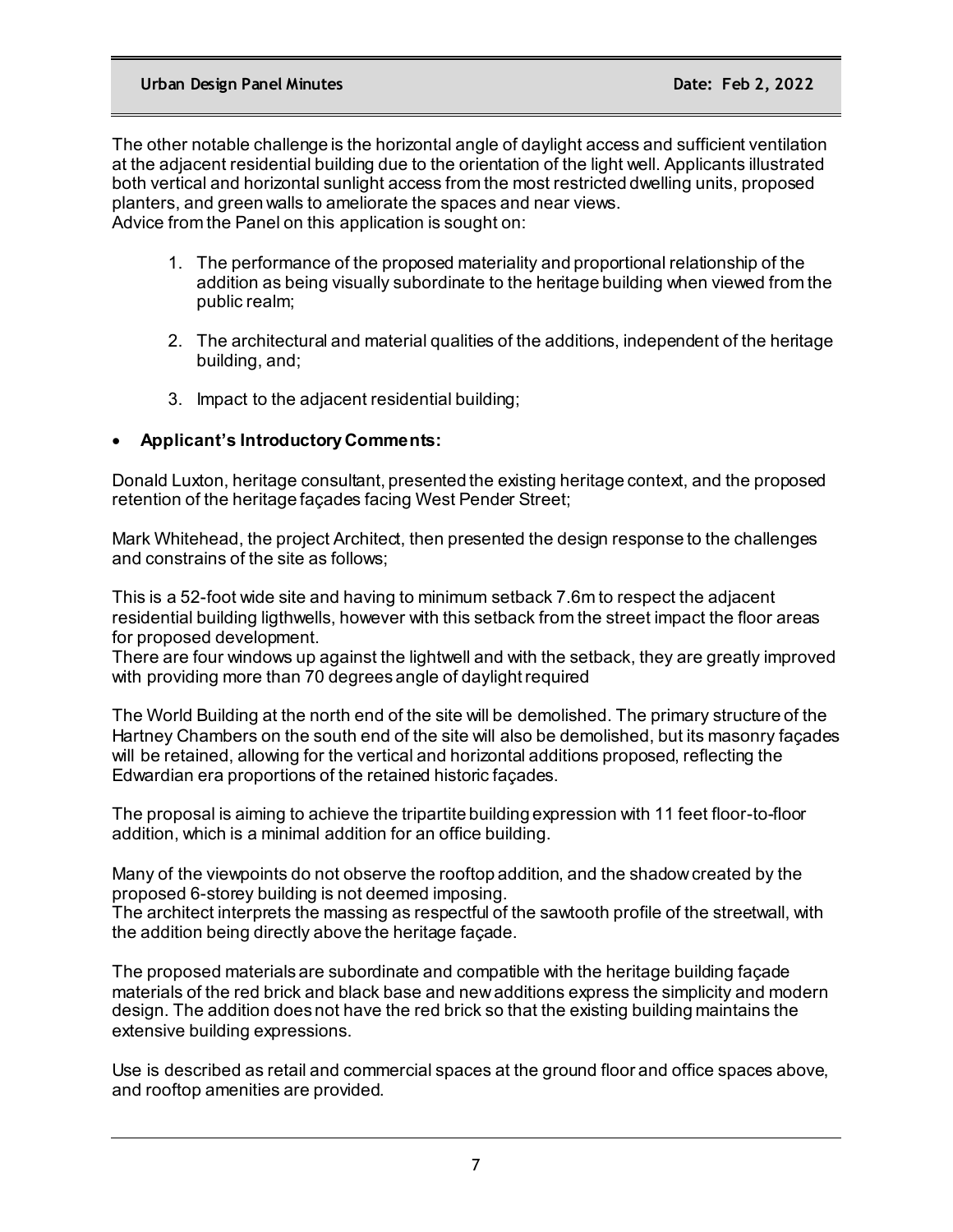The other notable challenge is the horizontal angle of daylight access and sufficient ventilation at the adjacent residential building due to the orientation of the light well. Applicants illustrated both vertical and horizontal sunlight access from the most restricted dwelling units, proposed planters, and green walls to ameliorate the spaces and near views. Advice from the Panel on this application is sought on:

- 1. The performance of the proposed materiality and proportional relationship of the addition as being visually subordinate to the heritage building when viewed from the public realm;
- 2. The architectural and material qualities of the additions, independent of the heritage building, and;
- 3. Impact to the adjacent residential building;

## • **Applicant's Introductory Comments:**

Donald Luxton, heritage consultant, presented the existing heritage context, and the proposed retention of the heritage façades facing West Pender Street;

Mark Whitehead, the project Architect, then presented the design response to the challenges and constrains of the site as follows;

This is a 52-foot wide site and having to minimum setback 7.6m to respect the adjacent residential building ligthwells, however with this setback from the street impact the floor areas for proposed development.

There are four windows up against the lightwell and with the setback, they are greatly improved with providing more than 70 degrees angle of daylight required

The World Building at the north end of the site will be demolished. The primary structure of the Hartney Chambers on the south end of the site will also be demolished, but its masonry façades will be retained, allowing for the vertical and horizontal additions proposed, reflecting the Edwardian era proportions of the retained historic façades.

The proposal is aiming to achieve the tripartite building expression with 11 feet floor-to-floor addition, which is a minimal addition for an office building.

Many of the viewpoints do not observe the rooftop addition, and the shadow created by the proposed 6-storey building is not deemed imposing.

The architect interprets the massing as respectful of the sawtooth profile of the streetwall, with the addition being directly above the heritage façade.

The proposed materials are subordinate and compatible with the heritage building façade materials of the red brick and black base and new additions express the simplicity and modern design. The addition does not have the red brick so that the existing building maintains the extensive building expressions.

Use is described as retail and commercial spaces at the ground floor and office spaces above, and rooftop amenities are provided.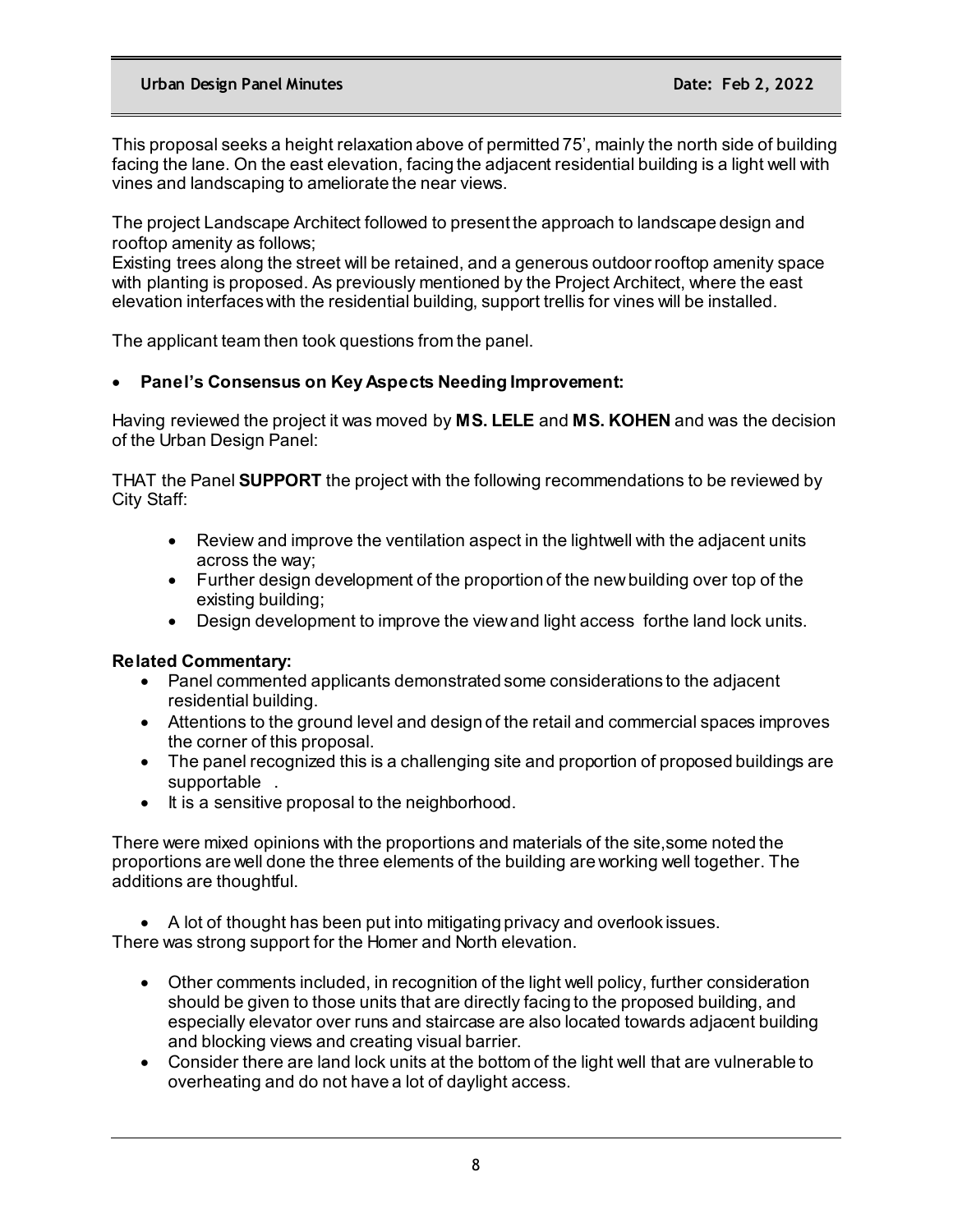This proposal seeks a height relaxation above of permitted 75', mainly the north side of building facing the lane. On the east elevation, facing the adjacent residential building is a light well with vines and landscaping to ameliorate the near views.

The project Landscape Architect followed to present the approach to landscape design and rooftop amenity as follows;

Existing trees along the street will be retained, and a generous outdoor rooftop amenity space with planting is proposed. As previously mentioned by the Project Architect, where the east elevation interfaces with the residential building, support trellis for vines will be installed.

The applicant team then took questions from the panel.

### • **Panel's Consensus on Key Aspects Needing Improvement:**

Having reviewed the project it was moved by **MS. LELE** and **MS. KOHEN** and was the decision of the Urban Design Panel:

THAT the Panel **SUPPORT** the project with the following recommendations to be reviewed by City Staff:

- Review and improve the ventilation aspect in the lightwell with the adjacent units across the way;
- Further design development of the proportion of the new building over top of the existing building;
- Design development to improve the view and light access forthe land lock units.

### **Related Commentary:**

- Panel commented applicants demonstrated some considerations to the adjacent residential building.
- Attentions to the ground level and design of the retail and commercial spaces improves the corner of this proposal.
- The panel recognized this is a challenging site and proportion of proposed buildings are supportable .
- It is a sensitive proposal to the neighborhood.

There were mixed opinions with the proportions and materials of the site,some noted the proportions are well done the three elements of the building are working well together. The additions are thoughtful.

• A lot of thought has been put into mitigating privacy and overlook issues. There was strong support for the Homer and North elevation.

- Other comments included, in recognition of the light well policy, further consideration should be given to those units that are directly facing to the proposed building, and especially elevator over runs and staircase are also located towards adjacent building and blocking views and creating visual barrier.
- Consider there are land lock units at the bottom of the light well that are vulnerable to overheating and do not have a lot of daylight access.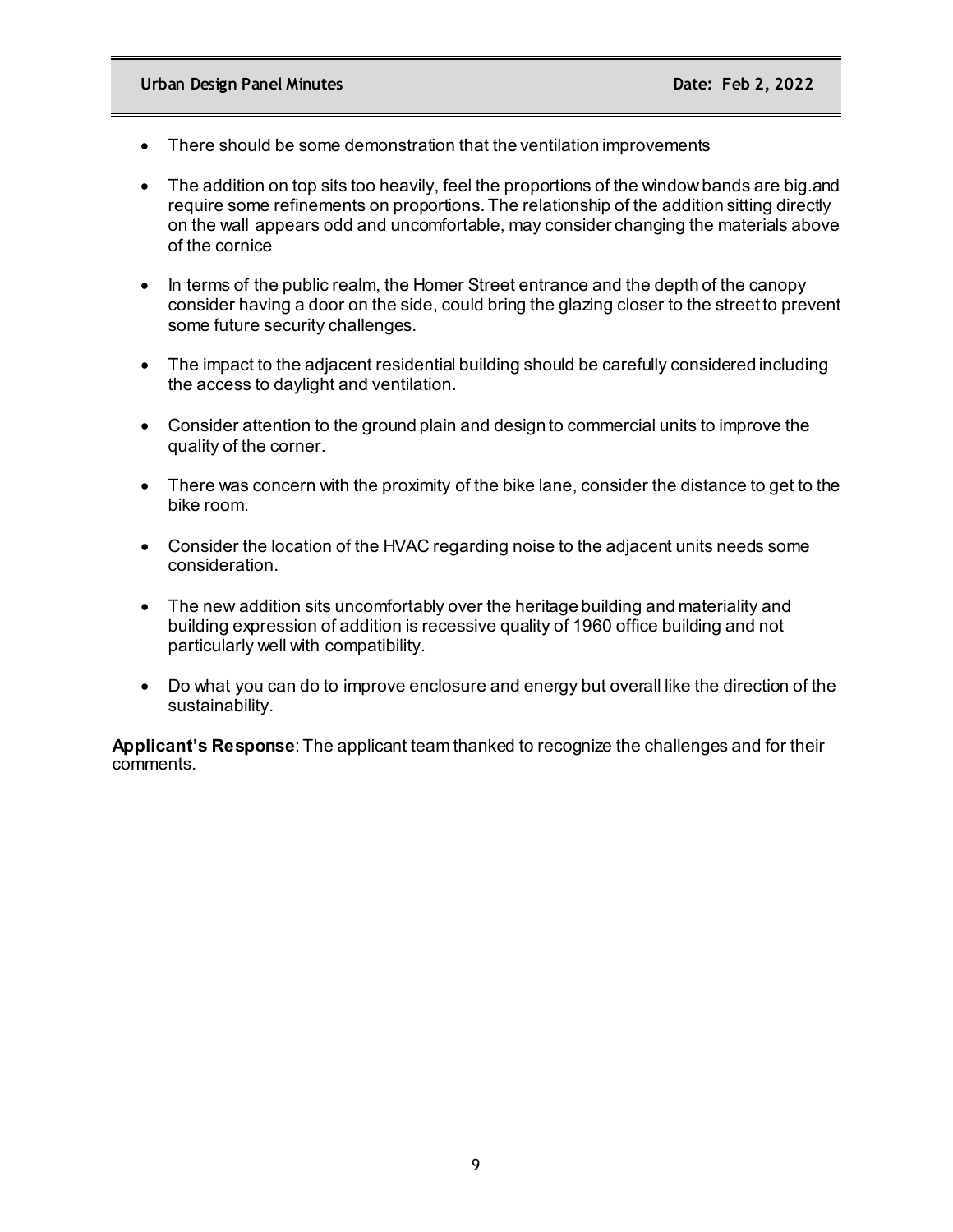- There should be some demonstration that the ventilation improvements
- The addition on top sits too heavily, feel the proportions of the window bands are big. and require some refinements on proportions. The relationship of the addition sitting directly on the wall appears odd and uncomfortable, may consider changing the materials above of the cornice
- In terms of the public realm, the Homer Street entrance and the depth of the canopy consider having a door on the side, could bring the glazing closer to the street to prevent some future security challenges.
- The impact to the adjacent residential building should be carefully considered including the access to daylight and ventilation.
- Consider attention to the ground plain and design to commercial units to improve the quality of the corner.
- There was concern with the proximity of the bike lane, consider the distance to get to the bike room.
- Consider the location of the HVAC regarding noise to the adjacent units needs some consideration.
- The new addition sits uncomfortably over the heritage building and materiality and building expression of addition is recessive quality of 1960 office building and not particularly well with compatibility.
- Do what you can do to improve enclosure and energy but overall like the direction of the sustainability.

**Applicant's Response**: The applicant team thanked to recognize the challenges and for their comments.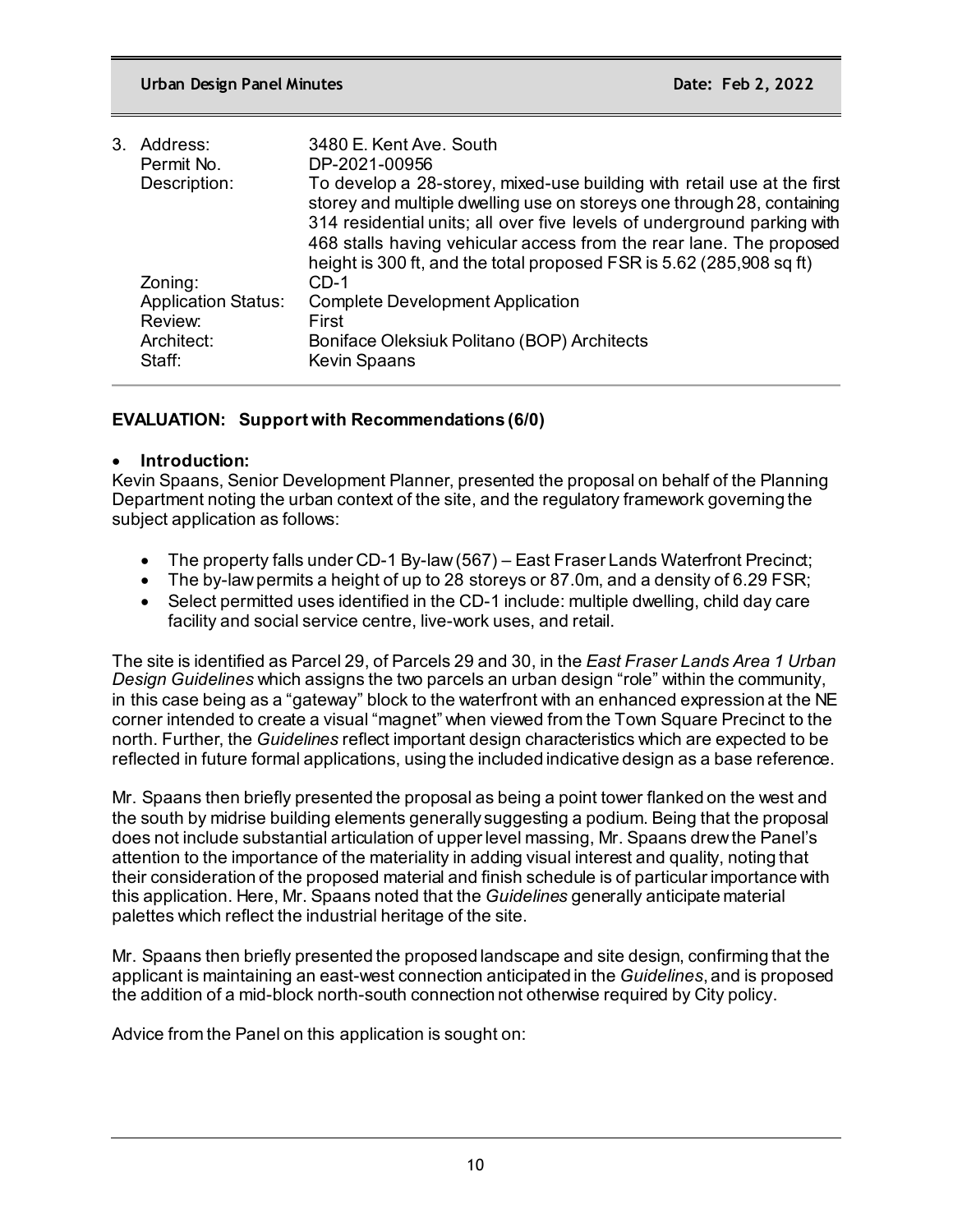| To develop a 28-storey, mixed-use building with retail use at the first<br>storey and multiple dwelling use on storeys one through 28, containing                                                                      |
|------------------------------------------------------------------------------------------------------------------------------------------------------------------------------------------------------------------------|
| 314 residential units; all over five levels of underground parking with<br>468 stalls having vehicular access from the rear lane. The proposed<br>height is 300 ft, and the total proposed FSR is 5.62 (285,908 sq ft) |
|                                                                                                                                                                                                                        |
|                                                                                                                                                                                                                        |
|                                                                                                                                                                                                                        |
|                                                                                                                                                                                                                        |
|                                                                                                                                                                                                                        |
|                                                                                                                                                                                                                        |

## **EVALUATION: Support with Recommendations (6/0)**

### • **Introduction:**

Kevin Spaans, Senior Development Planner, presented the proposal on behalf of the Planning Department noting the urban context of the site, and the regulatory framework governing the subject application as follows:

- The property falls under CD-1 By-law (567) East Fraser Lands Waterfront Precinct;
- The by-law permits a height of up to 28 storeys or 87.0m, and a density of 6.29 FSR;
- Select permitted uses identified in the CD-1 include: multiple dwelling, child day care facility and social service centre, live-work uses, and retail.

The site is identified as Parcel 29, of Parcels 29 and 30, in the *East Fraser Lands Area 1 Urban Design Guidelines* which assigns the two parcels an urban design "role" within the community, in this case being as a "gateway" block to the waterfront with an enhanced expression at the NE corner intended to create a visual "magnet" when viewed from the Town Square Precinct to the north. Further, the *Guidelines* reflect important design characteristics which are expected to be reflected in future formal applications, using the included indicative design as a base reference.

Mr. Spaans then briefly presented the proposal as being a point tower flanked on the west and the south by midrise building elements generally suggesting a podium. Being that the proposal does not include substantial articulation of upper level massing, Mr. Spaans drew the Panel's attention to the importance of the materiality in adding visual interest and quality, noting that their consideration of the proposed material and finish schedule is of particular importance with this application. Here, Mr. Spaans noted that the *Guidelines* generally anticipate material palettes which reflect the industrial heritage of the site.

Mr. Spaans then briefly presented the proposed landscape and site design, confirming that the applicant is maintaining an east-west connection anticipated in the *Guidelines*, and is proposed the addition of a mid-block north-south connection not otherwise required by City policy.

Advice from the Panel on this application is sought on: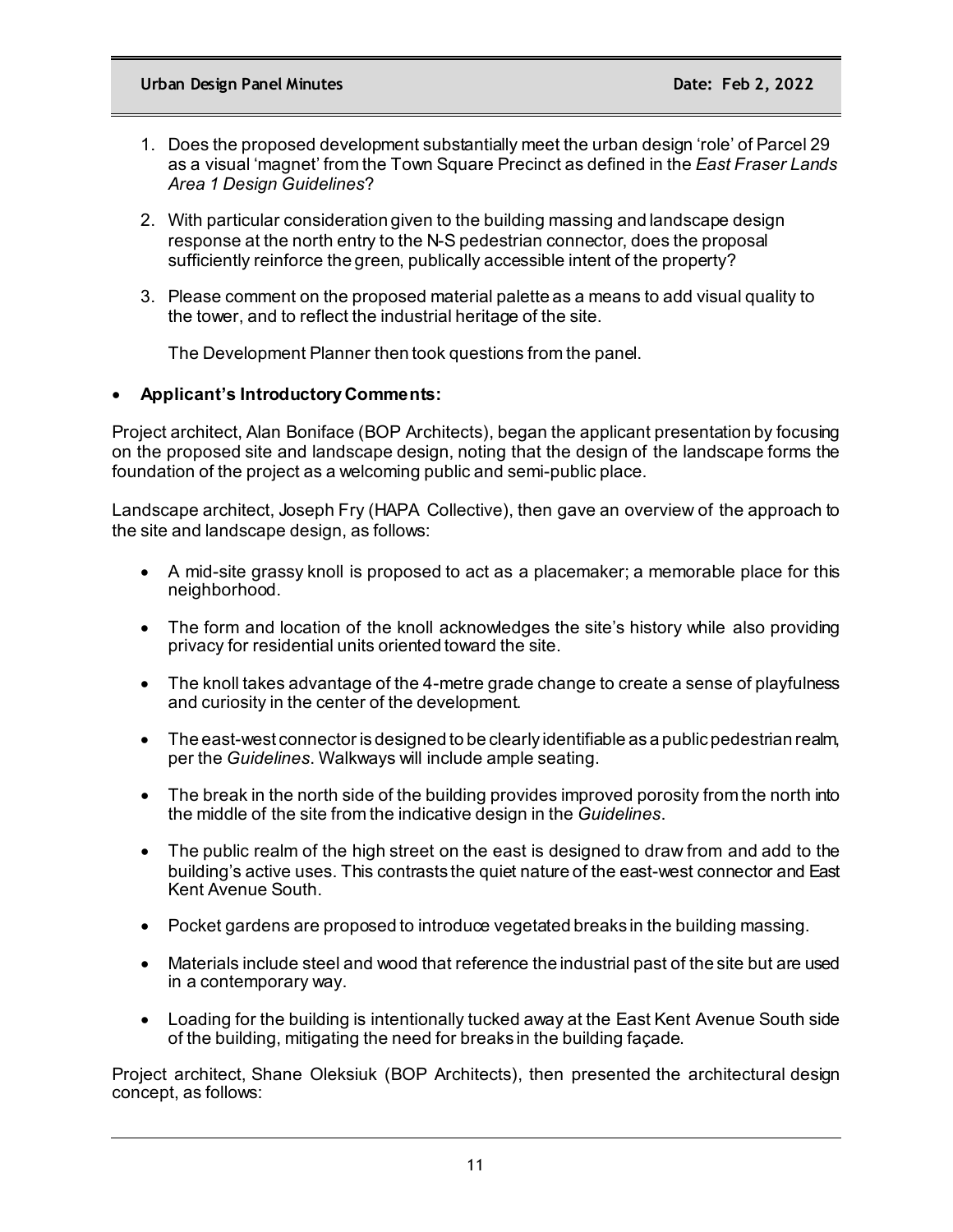- 1. Does the proposed development substantially meet the urban design 'role' of Parcel 29 as a visual 'magnet' from the Town Square Precinct as defined in the *East Fraser Lands Area 1 Design Guidelines*?
- 2. With particular consideration given to the building massing and landscape design response at the north entry to the N-S pedestrian connector, does the proposal sufficiently reinforce the green, publically accessible intent of the property?
- 3. Please comment on the proposed material palette as a means to add visual quality to the tower, and to reflect the industrial heritage of the site.

The Development Planner then took questions from the panel.

## • **Applicant's Introductory Comments:**

Project architect, Alan Boniface (BOP Architects), began the applicant presentation by focusing on the proposed site and landscape design, noting that the design of the landscape forms the foundation of the project as a welcoming public and semi-public place.

Landscape architect, Joseph Fry (HAPA Collective), then gave an overview of the approach to the site and landscape design, as follows:

- A mid-site grassy knoll is proposed to act as a placemaker; a memorable place for this neighborhood.
- The form and location of the knoll acknowledges the site's history while also providing privacy for residential units oriented toward the site.
- The knoll takes advantage of the 4-metre grade change to create a sense of playfulness and curiosity in the center of the development.
- The east-west connector is designed to be clearly identifiable as a public pedestrian realm, per the *Guidelines*. Walkways will include ample seating.
- The break in the north side of the building provides improved porosity from the north into the middle of the site from the indicative design in the *Guidelines*.
- The public realm of the high street on the east is designed to draw from and add to the building's active uses. This contrasts the quiet nature of the east-west connector and East Kent Avenue South.
- Pocket gardens are proposed to introduce vegetated breaks in the building massing.
- Materials include steel and wood that reference the industrial past of the site but are used in a contemporary way.
- Loading for the building is intentionally tucked away at the East Kent Avenue South side of the building, mitigating the need for breaks in the building façade.

Project architect, Shane Oleksiuk (BOP Architects), then presented the architectural design concept, as follows: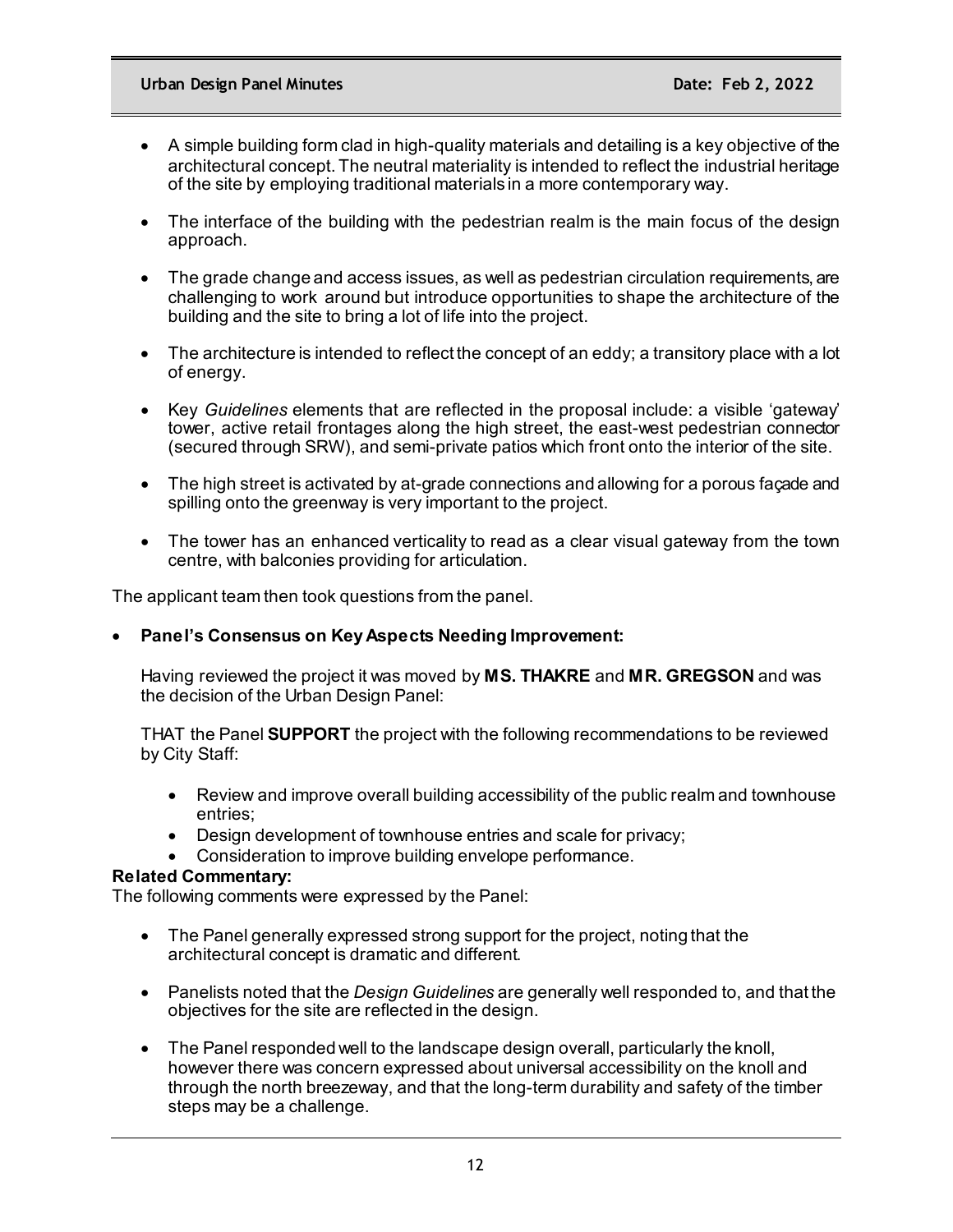- A simple building form clad in high-quality materials and detailing is a key objective of the architectural concept. The neutral materiality is intended to reflect the industrial heritage of the site by employing traditional materials in a more contemporary way.
- The interface of the building with the pedestrian realm is the main focus of the design approach.
- The grade change and access issues, as well as pedestrian circulation requirements, are challenging to work around but introduce opportunities to shape the architecture of the building and the site to bring a lot of life into the project.
- The architecture is intended to reflect the concept of an eddy; a transitory place with a lot of energy.
- Key *Guidelines* elements that are reflected in the proposal include: a visible 'gateway' tower, active retail frontages along the high street, the east-west pedestrian connector (secured through SRW), and semi-private patios which front onto the interior of the site.
- The high street is activated by at-grade connections and allowing for a porous façade and spilling onto the greenway is very important to the project.
- The tower has an enhanced verticality to read as a clear visual gateway from the town centre, with balconies providing for articulation.

The applicant team then took questions from the panel.

## • **Panel's Consensus on Key Aspects Needing Improvement:**

Having reviewed the project it was moved by **MS. THAKRE** and **MR. GREGSON** and was the decision of the Urban Design Panel:

THAT the Panel **SUPPORT** the project with the following recommendations to be reviewed by City Staff:

- Review and improve overall building accessibility of the public realm and townhouse entries;
- Design development of townhouse entries and scale for privacy;
- Consideration to improve building envelope performance.

### **Related Commentary:**

The following comments were expressed by the Panel:

- The Panel generally expressed strong support for the project, noting that the architectural concept is dramatic and different.
- Panelists noted that the *Design Guidelines* are generally well responded to, and that the objectives for the site are reflected in the design.
- The Panel responded well to the landscape design overall, particularly the knoll, however there was concern expressed about universal accessibility on the knoll and through the north breezeway, and that the long-term durability and safety of the timber steps may be a challenge.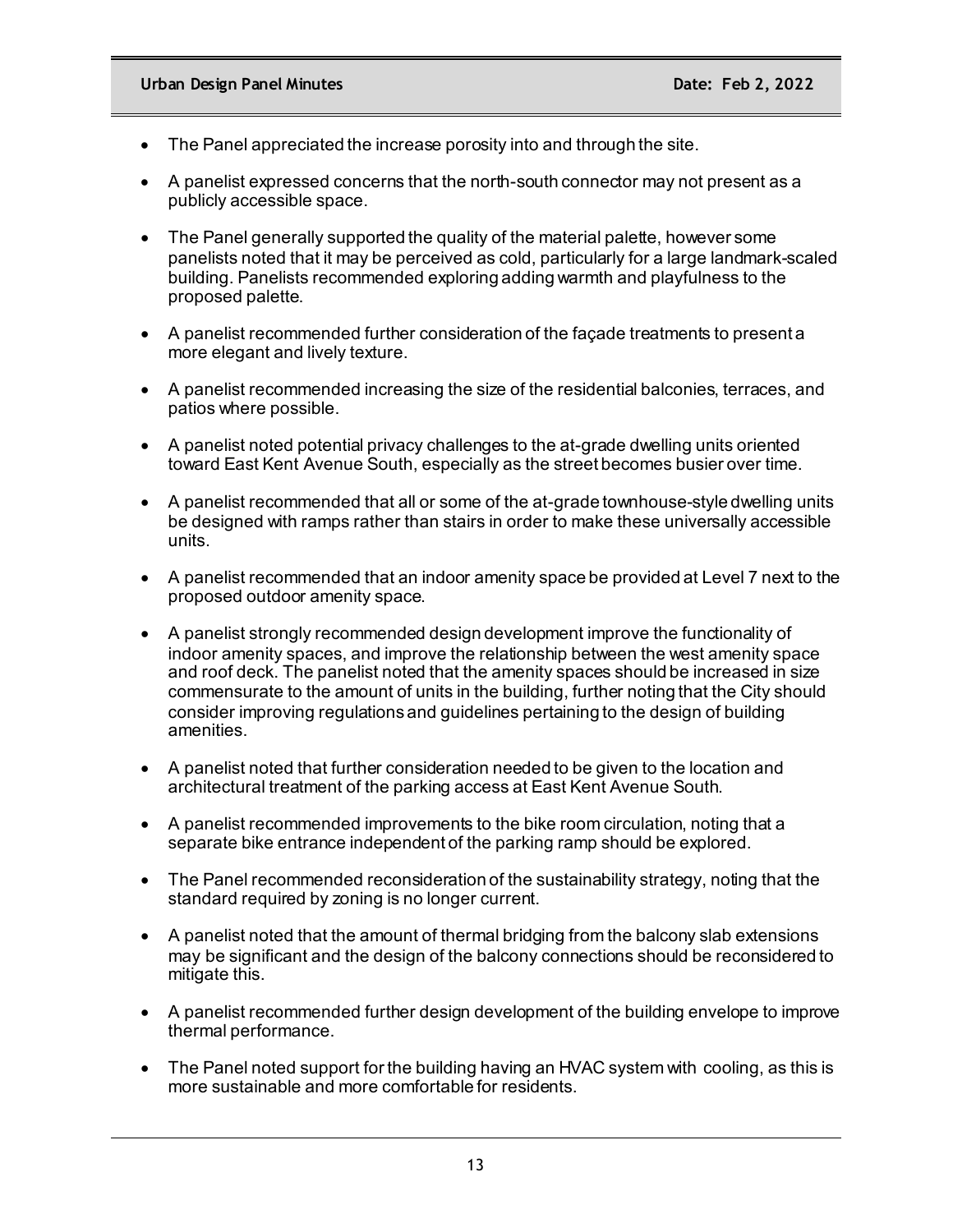- The Panel appreciated the increase porosity into and through the site.
- A panelist expressed concerns that the north-south connector may not present as a publicly accessible space.
- The Panel generally supported the quality of the material palette, however some panelists noted that it may be perceived as cold, particularly for a large landmark-scaled building. Panelists recommended exploring adding warmth and playfulness to the proposed palette.
- A panelist recommended further consideration of the façade treatments to present a more elegant and lively texture.
- A panelist recommended increasing the size of the residential balconies, terraces, and patios where possible.
- A panelist noted potential privacy challenges to the at-grade dwelling units oriented toward East Kent Avenue South, especially as the street becomes busier over time.
- A panelist recommended that all or some of the at-grade townhouse-style dwelling units be designed with ramps rather than stairs in order to make these universally accessible units.
- A panelist recommended that an indoor amenity space be provided at Level 7 next to the proposed outdoor amenity space.
- A panelist strongly recommended design development improve the functionality of indoor amenity spaces, and improve the relationship between the west amenity space and roof deck. The panelist noted that the amenity spaces should be increased in size commensurate to the amount of units in the building, further noting that the City should consider improving regulations and guidelines pertaining to the design of building amenities.
- A panelist noted that further consideration needed to be given to the location and architectural treatment of the parking access at East Kent Avenue South.
- A panelist recommended improvements to the bike room circulation, noting that a separate bike entrance independent of the parking ramp should be explored.
- The Panel recommended reconsideration of the sustainability strategy, noting that the standard required by zoning is no longer current.
- A panelist noted that the amount of thermal bridging from the balcony slab extensions may be significant and the design of the balcony connections should be reconsidered to mitigate this.
- A panelist recommended further design development of the building envelope to improve thermal performance.
- The Panel noted support for the building having an HVAC system with cooling, as this is more sustainable and more comfortable for residents.